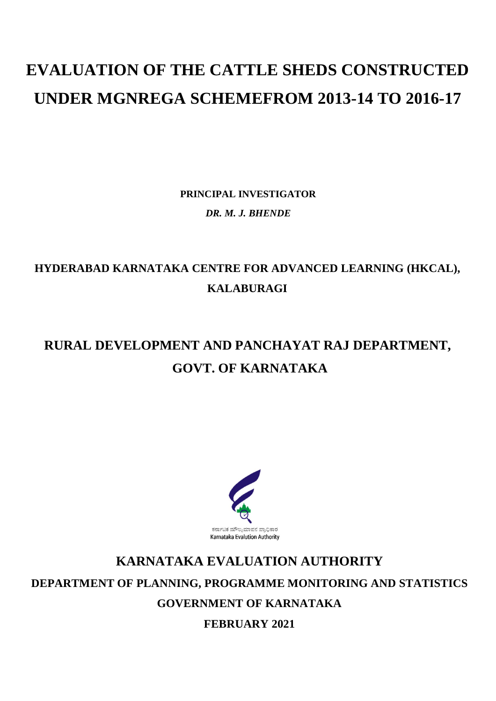# **EVALUATION OF THE CATTLE SHEDS CONSTRUCTED UNDER MGNREGA SCHEMEFROM 2013-14 TO 2016-17**

**PRINCIPAL INVESTIGATOR** *DR. M. J. BHENDE*

### **HYDERABAD KARNATAKA CENTRE FOR ADVANCED LEARNING (HKCAL), KALABURAGI**

### **RURAL DEVELOPMENT AND PANCHAYAT RAJ DEPARTMENT, GOVT. OF KARNATAKA**



## **KARNATAKA EVALUATION AUTHORITY DEPARTMENT OF PLANNING, PROGRAMME MONITORING AND STATISTICS GOVERNMENT OF KARNATAKA**

**FEBRUARY 2021**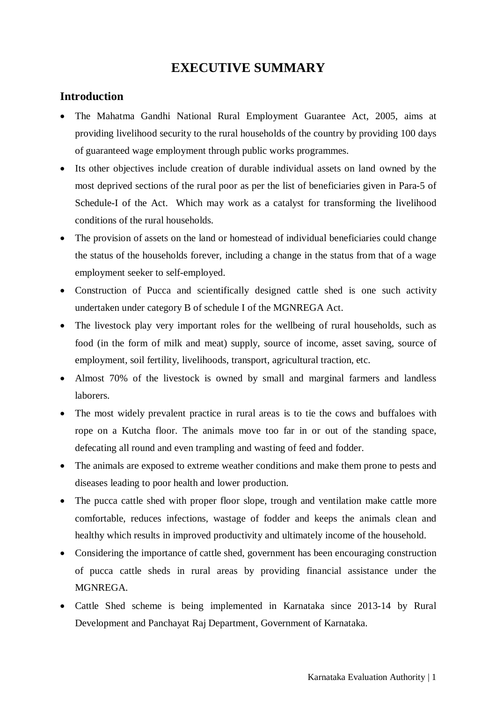#### **EXECUTIVE SUMMARY**

#### **Introduction**

- The Mahatma Gandhi National Rural Employment Guarantee Act, 2005, aims at providing livelihood security to the rural households of the country by providing 100 days of guaranteed wage employment through public works programmes.
- Its other objectives include creation of durable individual assets on land owned by the most deprived sections of the rural poor as per the list of beneficiaries given in Para-5 of Schedule-I of the Act. Which may work as a catalyst for transforming the livelihood conditions of the rural households.
- The provision of assets on the land or homestead of individual beneficiaries could change the status of the households forever, including a change in the status from that of a wage employment seeker to self-employed.
- Construction of Pucca and scientifically designed cattle shed is one such activity undertaken under category B of schedule I of the MGNREGA Act.
- The livestock play very important roles for the wellbeing of rural households, such as food (in the form of milk and meat) supply, source of income, asset saving, source of employment, soil fertility, livelihoods, transport, agricultural traction, etc.
- Almost 70% of the livestock is owned by small and marginal farmers and landless laborers.
- The most widely prevalent practice in rural areas is to tie the cows and buffaloes with rope on a Kutcha floor. The animals move too far in or out of the standing space, defecating all round and even trampling and wasting of feed and fodder.
- The animals are exposed to extreme weather conditions and make them prone to pests and diseases leading to poor health and lower production.
- The pucca cattle shed with proper floor slope, trough and ventilation make cattle more comfortable, reduces infections, wastage of fodder and keeps the animals clean and healthy which results in improved productivity and ultimately income of the household.
- Considering the importance of cattle shed, government has been encouraging construction of pucca cattle sheds in rural areas by providing financial assistance under the MGNREGA.
- Cattle Shed scheme is being implemented in Karnataka since 2013-14 by Rural Development and Panchayat Raj Department, Government of Karnataka.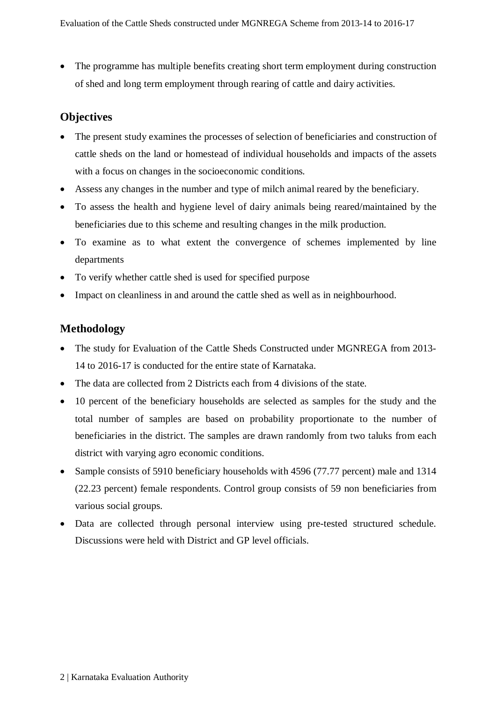• The programme has multiple benefits creating short term employment during construction of shed and long term employment through rearing of cattle and dairy activities.

#### **Objectives**

- The present study examines the processes of selection of beneficiaries and construction of cattle sheds on the land or homestead of individual households and impacts of the assets with a focus on changes in the socioeconomic conditions.
- Assess any changes in the number and type of milch animal reared by the beneficiary.
- To assess the health and hygiene level of dairy animals being reared/maintained by the beneficiaries due to this scheme and resulting changes in the milk production.
- To examine as to what extent the convergence of schemes implemented by line departments
- To verify whether cattle shed is used for specified purpose
- Impact on cleanliness in and around the cattle shed as well as in neighbourhood.

#### **Methodology**

- The study for Evaluation of the Cattle Sheds Constructed under MGNREGA from 2013- 14 to 2016-17 is conducted for the entire state of Karnataka.
- The data are collected from 2 Districts each from 4 divisions of the state.
- 10 percent of the beneficiary households are selected as samples for the study and the total number of samples are based on probability proportionate to the number of beneficiaries in the district. The samples are drawn randomly from two taluks from each district with varying agro economic conditions.
- Sample consists of 5910 beneficiary households with 4596 (77.77 percent) male and 1314 (22.23 percent) female respondents. Control group consists of 59 non beneficiaries from various social groups.
- Data are collected through personal interview using pre-tested structured schedule. Discussions were held with District and GP level officials.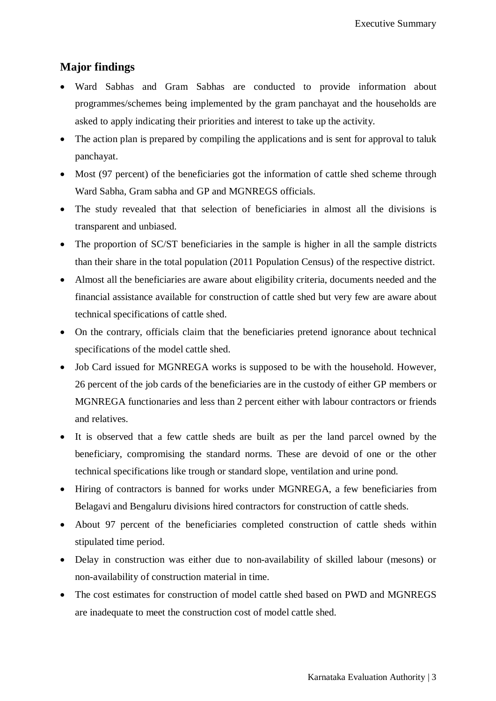#### **Major findings**

- Ward Sabhas and Gram Sabhas are conducted to provide information about programmes/schemes being implemented by the gram panchayat and the households are asked to apply indicating their priorities and interest to take up the activity.
- The action plan is prepared by compiling the applications and is sent for approval to taluk panchayat.
- Most (97 percent) of the beneficiaries got the information of cattle shed scheme through Ward Sabha, Gram sabha and GP and MGNREGS officials.
- The study revealed that that selection of beneficiaries in almost all the divisions is transparent and unbiased.
- The proportion of SC/ST beneficiaries in the sample is higher in all the sample districts than their share in the total population (2011 Population Census) of the respective district.
- Almost all the beneficiaries are aware about eligibility criteria, documents needed and the financial assistance available for construction of cattle shed but very few are aware about technical specifications of cattle shed.
- On the contrary, officials claim that the beneficiaries pretend ignorance about technical specifications of the model cattle shed.
- Job Card issued for MGNREGA works is supposed to be with the household. However, 26 percent of the job cards of the beneficiaries are in the custody of either GP members or MGNREGA functionaries and less than 2 percent either with labour contractors or friends and relatives.
- It is observed that a few cattle sheds are built as per the land parcel owned by the beneficiary, compromising the standard norms. These are devoid of one or the other technical specifications like trough or standard slope, ventilation and urine pond.
- Hiring of contractors is banned for works under MGNREGA, a few beneficiaries from Belagavi and Bengaluru divisions hired contractors for construction of cattle sheds.
- About 97 percent of the beneficiaries completed construction of cattle sheds within stipulated time period.
- Delay in construction was either due to non-availability of skilled labour (mesons) or non-availability of construction material in time.
- The cost estimates for construction of model cattle shed based on PWD and MGNREGS are inadequate to meet the construction cost of model cattle shed.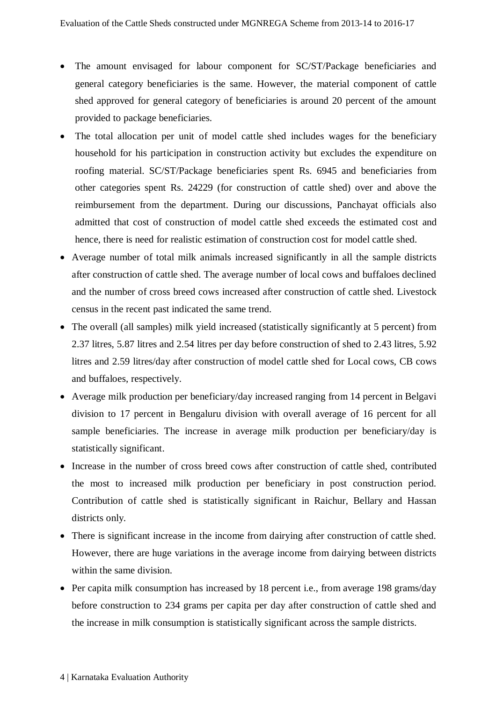- The amount envisaged for labour component for SC/ST/Package beneficiaries and general category beneficiaries is the same. However, the material component of cattle shed approved for general category of beneficiaries is around 20 percent of the amount provided to package beneficiaries.
- The total allocation per unit of model cattle shed includes wages for the beneficiary household for his participation in construction activity but excludes the expenditure on roofing material. SC/ST/Package beneficiaries spent Rs. 6945 and beneficiaries from other categories spent Rs. 24229 (for construction of cattle shed) over and above the reimbursement from the department. During our discussions, Panchayat officials also admitted that cost of construction of model cattle shed exceeds the estimated cost and hence, there is need for realistic estimation of construction cost for model cattle shed.
- Average number of total milk animals increased significantly in all the sample districts after construction of cattle shed. The average number of local cows and buffaloes declined and the number of cross breed cows increased after construction of cattle shed. Livestock census in the recent past indicated the same trend.
- The overall (all samples) milk yield increased (statistically significantly at 5 percent) from 2.37 litres, 5.87 litres and 2.54 litres per day before construction of shed to 2.43 litres, 5.92 litres and 2.59 litres/day after construction of model cattle shed for Local cows, CB cows and buffaloes, respectively.
- Average milk production per beneficiary/day increased ranging from 14 percent in Belgavi division to 17 percent in Bengaluru division with overall average of 16 percent for all sample beneficiaries. The increase in average milk production per beneficiary/day is statistically significant.
- Increase in the number of cross breed cows after construction of cattle shed, contributed the most to increased milk production per beneficiary in post construction period. Contribution of cattle shed is statistically significant in Raichur, Bellary and Hassan districts only.
- There is significant increase in the income from dairying after construction of cattle shed. However, there are huge variations in the average income from dairying between districts within the same division.
- Per capita milk consumption has increased by 18 percent i.e., from average 198 grams/day before construction to 234 grams per capita per day after construction of cattle shed and the increase in milk consumption is statistically significant across the sample districts.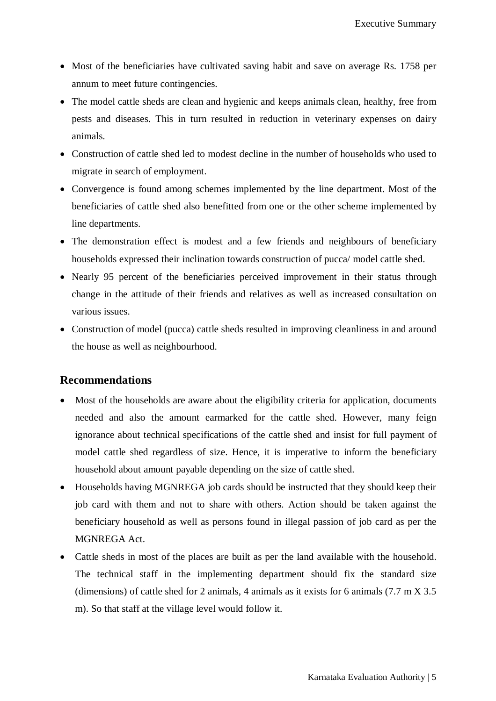- Most of the beneficiaries have cultivated saving habit and save on average Rs. 1758 per annum to meet future contingencies.
- The model cattle sheds are clean and hygienic and keeps animals clean, healthy, free from pests and diseases. This in turn resulted in reduction in veterinary expenses on dairy animals.
- Construction of cattle shed led to modest decline in the number of households who used to migrate in search of employment.
- Convergence is found among schemes implemented by the line department. Most of the beneficiaries of cattle shed also benefitted from one or the other scheme implemented by line departments.
- The demonstration effect is modest and a few friends and neighbours of beneficiary households expressed their inclination towards construction of pucca/ model cattle shed.
- Nearly 95 percent of the beneficiaries perceived improvement in their status through change in the attitude of their friends and relatives as well as increased consultation on various issues.
- Construction of model (pucca) cattle sheds resulted in improving cleanliness in and around the house as well as neighbourhood.

#### **Recommendations**

- Most of the households are aware about the eligibility criteria for application, documents needed and also the amount earmarked for the cattle shed. However, many feign ignorance about technical specifications of the cattle shed and insist for full payment of model cattle shed regardless of size. Hence, it is imperative to inform the beneficiary household about amount payable depending on the size of cattle shed.
- Households having MGNREGA job cards should be instructed that they should keep their job card with them and not to share with others. Action should be taken against the beneficiary household as well as persons found in illegal passion of job card as per the MGNREGA Act.
- Cattle sheds in most of the places are built as per the land available with the household. The technical staff in the implementing department should fix the standard size (dimensions) of cattle shed for 2 animals, 4 animals as it exists for 6 animals (7.7 m X 3.5 m). So that staff at the village level would follow it.